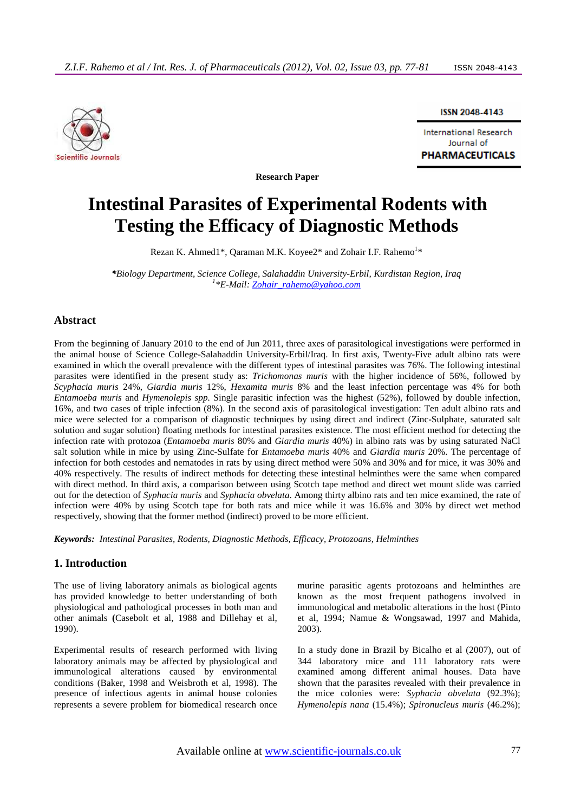

ISSN 2048-4143

**International Research** Journal of **PHARMACEUTICALS** 

**Research Paper** 

# **Intestinal Parasites of Experimental Rodents with Testing the Efficacy of Diagnostic Methods**

Rezan K. Ahmed1\*, Qaraman M.K. Koyee2\* and Zohair I.F. Rahemo<sup>1</sup>\*

*\*Biology Department, Science College, Salahaddin University-Erbil, Kurdistan Region, Iraq 1 \*E-Mail: Zohair\_rahemo@yahoo.com*

### **Abstract**

From the beginning of January 2010 to the end of Jun 2011, three axes of parasitological investigations were performed in the animal house of Science College-Salahaddin University-Erbil/Iraq. In first axis, Twenty-Five adult albino rats were examined in which the overall prevalence with the different types of intestinal parasites was 76%. The following intestinal parasites were identified in the present study as: *Trichomonas muris* with the higher incidence of 56%, followed by *Scyphacia muris* 24%, *Giardia muris* 12%, *Hexamita muris* 8% and the least infection percentage was 4% for both *Entamoeba muris* and *Hymenolepis spp.* Single parasitic infection was the highest (52%), followed by double infection, 16%, and two cases of triple infection (8%). In the second axis of parasitological investigation: Ten adult albino rats and mice were selected for a comparison of diagnostic techniques by using direct and indirect (Zinc-Sulphate, saturated salt solution and sugar solution) floating methods for intestinal parasites existence. The most efficient method for detecting the infection rate with protozoa (*Entamoeba muris* 80% and *Giardia muris* 40%) in albino rats was by using saturated NaCl salt solution while in mice by using Zinc-Sulfate for *Entamoeba muris* 40% and *Giardia muris* 20%. The percentage of infection for both cestodes and nematodes in rats by using direct method were 50% and 30% and for mice, it was 30% and 40% respectively. The results of indirect methods for detecting these intestinal helminthes were the same when compared with direct method. In third axis, a comparison between using Scotch tape method and direct wet mount slide was carried out for the detection of *Syphacia muris* and *Syphacia obvelata*. Among thirty albino rats and ten mice examined, the rate of infection were 40% by using Scotch tape for both rats and mice while it was 16.6% and 30% by direct wet method respectively, showing that the former method (indirect) proved to be more efficient.

*Keywords: Intestinal Parasites, Rodents, Diagnostic Methods, Efficacy, Protozoans, Helminthes* 

# **1. Introduction**

The use of living laboratory animals as biological agents has provided knowledge to better understanding of both physiological and pathological processes in both man and other animals **(**Casebolt et al, 1988 and Dillehay et al, 1990).

Experimental results of research performed with living laboratory animals may be affected by physiological and immunological alterations caused by environmental conditions (Baker, 1998 and Weisbroth et al, 1998). The presence of infectious agents in animal house colonies represents a severe problem for biomedical research once murine parasitic agents protozoans and helminthes are known as the most frequent pathogens involved in immunological and metabolic alterations in the host (Pinto et al, 1994; Namue & Wongsawad, 1997 and Mahida, 2003).

In a study done in Brazil by Bicalho et al (2007), out of 344 laboratory mice and 111 laboratory rats were examined among different animal houses. Data have shown that the parasites revealed with their prevalence in the mice colonies were: *Syphacia obvelata* (92.3%); *Hymenolepis nana* (15.4%); *Spironucleus muris* (46.2%);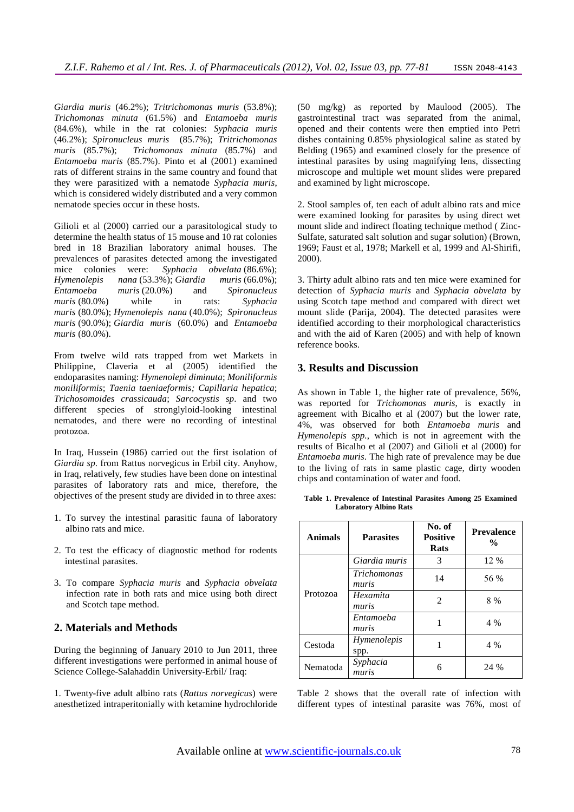*Giardia muris* (46.2%); *Tritrichomonas muris* (53.8%); *Trichomonas minuta* (61.5%) and *Entamoeba muris* (84.6%), while in the rat colonies: *Syphacia muris* (46.2%); *Spironucleus muris* (85.7%); *Tritrichomonas muris* (85.7%); *Trichomonas minuta* (85.7%) and *Entamoeba muris* (85.7%). Pinto et al (2001) examined rats of different strains in the same country and found that they were parasitized with a nematode *Syphacia muris*, which is considered widely distributed and a very common nematode species occur in these hosts.

Gilioli et al (2000) carried our a parasitological study to determine the health status of 15 mouse and 10 rat colonies bred in 18 Brazilian laboratory animal houses. The prevalences of parasites detected among the investigated mice colonies were: *Syphacia obvelata* (86.6%); *Hymenolepis nana* (53.3%); *Giardia muris* (66.0%); *Entamoeba muris* (20.0%) and *Spironucleus muris* (80.0%) while in rats: *Syphacia muris* (80.0%); *Hymenolepis nana* (40.0%); *Spironucleus muris* (90.0%); *Giardia muris* (60.0%) and *Entamoeba muris* (80.0%).

From twelve wild rats trapped from wet Markets in Philippine, Claveria et al (2005) identified the endoparasites naming: *Hymenolepi diminuta*; *Moniliformis moniliformis*; *Taenia taeniaeformis; Capillaria hepatica*; *Trichosomoides crassicauda*; *Sarcocystis sp*. and two different species of stronglyloid-looking intestinal nematodes, and there were no recording of intestinal protozoa.

In Iraq, Hussein (1986) carried out the first isolation of *Giardia sp*. from Rattus norvegicus in Erbil city. Anyhow, in Iraq, relatively, few studies have been done on intestinal parasites of laboratory rats and mice, therefore, the objectives of the present study are divided in to three axes:

- 1. To survey the intestinal parasitic fauna of laboratory albino rats and mice.
- 2. To test the efficacy of diagnostic method for rodents intestinal parasites.
- 3. To compare *Syphacia muris* and *Syphacia obvelata* infection rate in both rats and mice using both direct and Scotch tape method.

# **2. Materials and Methods**

During the beginning of January 2010 to Jun 2011, three different investigations were performed in animal house of Science College-Salahaddin University-Erbil/ Iraq:

1. Twenty-five adult albino rats (*Rattus norvegicus*) were anesthetized intraperitonially with ketamine hydrochloride

(50 mg/kg) as reported by Maulood (2005). The gastrointestinal tract was separated from the animal, opened and their contents were then emptied into Petri dishes containing 0.85% physiological saline as stated by Belding (1965) and examined closely for the presence of intestinal parasites by using magnifying lens, dissecting microscope and multiple wet mount slides were prepared and examined by light microscope.

2. Stool samples of, ten each of adult albino rats and mice were examined looking for parasites by using direct wet mount slide and indirect floating technique method ( Zinc-Sulfate, saturated salt solution and sugar solution) (Brown, 1969; Faust et al, 1978; Markell et al, 1999 and Al-Shirifi, 2000).

3. Thirty adult albino rats and ten mice were examined for detection of *Syphacia muris* and *Syphacia obvelata* by using Scotch tape method and compared with direct wet mount slide (Parija, 2004**)**. The detected parasites were identified according to their morphological characteristics and with the aid of Karen (2005) and with help of known reference books.

### **3. Results and Discussion**

As shown in Table 1, the higher rate of prevalence, 56%, was reported for *Trichomonas muris*, is exactly in agreement with Bicalho et al (2007) but the lower rate, 4%, was observed for both *Entamoeba muris* and *Hymenolepis spp.*, which is not in agreement with the results of Bicalho et al (2007) and Gilioli et al (2000) for *Entamoeba muris*. The high rate of prevalence may be due to the living of rats in same plastic cage, dirty wooden chips and contamination of water and food.

**Table 1. Prevalence of Intestinal Parasites Among 25 Examined Laboratory Albino Rats** 

| <b>Animals</b> | <b>Parasites</b>     | No. of<br><b>Positive</b><br><b>Rats</b> | <b>Prevalence</b><br>$\frac{0}{0}$ |
|----------------|----------------------|------------------------------------------|------------------------------------|
|                | Giardia muris        | 3                                        | 12 %                               |
| Protozoa       | Trichomonas<br>muris | 14                                       | 56 %                               |
|                | Hexamita<br>muris    | $\mathfrak{D}$                           | 8 %                                |
|                | Entamoeba<br>muris   | 1                                        | 4 %                                |
| Cestoda        | Hymenolepis<br>spp.  | 1                                        | 4 %                                |
| Nematoda       | Syphacia<br>muris    | 6                                        | 24 %                               |

Table 2 shows that the overall rate of infection with different types of intestinal parasite was 76%, most of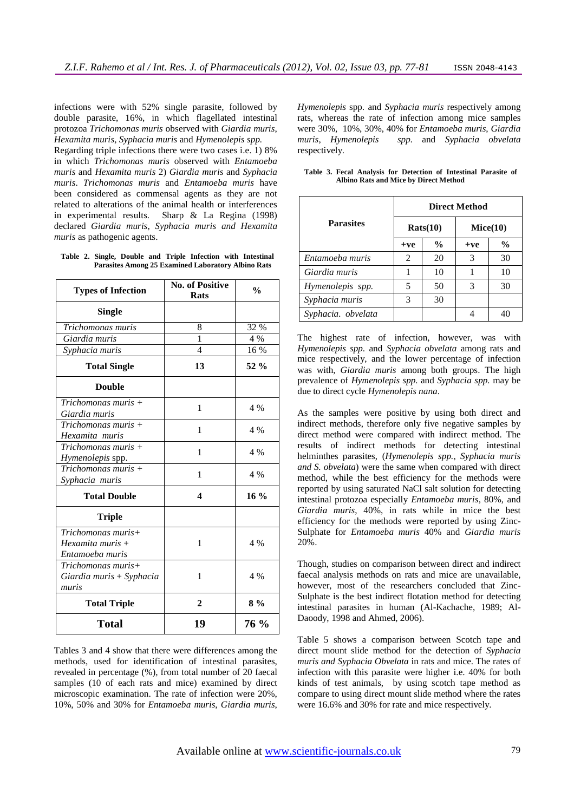infections were with 52% single parasite, followed by double parasite, 16%, in which flagellated intestinal protozoa *Trichomonas muris* observed with *Giardia muris*, *Hexamita muris, Syphacia muris* and *Hymenolepis spp.* 

Regarding triple infections there were two cases i.e. 1) 8% in which *Trichomonas muris* observed with *Entamoeba muris* and *Hexamita muris* 2) *Giardia muris* and *Syphacia muris*. *Trichomonas muris* and *Entamoeba muris* have been considered as commensal agents as they are not related to alterations of the animal health or interferences in experimental results. Sharp & La Regina (1998) declared *Giardia muris*, *Syphacia muris and Hexamita muris* as pathogenic agents.

|  |  |  |                                                           | Table 2. Single, Double and Triple Infection with Intestinal |
|--|--|--|-----------------------------------------------------------|--------------------------------------------------------------|
|  |  |  | <b>Parasites Among 25 Examined Laboratory Albino Rats</b> |                                                              |

| <b>Types of Infection</b>                                     | <b>No. of Positive</b><br><b>Rats</b> | $\frac{0}{0}$ |
|---------------------------------------------------------------|---------------------------------------|---------------|
| <b>Single</b>                                                 |                                       |               |
| Trichomonas muris                                             | 8                                     | 32 %          |
| Giardia muris                                                 | 1                                     | 4 %           |
| Syphacia muris                                                | $\overline{\mathcal{L}}$              | 16 %          |
| <b>Total Single</b>                                           | 13                                    | $52\%$        |
| <b>Double</b>                                                 |                                       |               |
| Trichomonas muris +<br>Giardia muris                          | 1                                     | 4 %           |
| $Trichomonas muris +$<br>Hexamita muris                       | 1                                     | 4 %           |
| $Trichomonas muris +$<br>Hymenolepis spp.                     | 1                                     | 4 %           |
| Trichomonas muris $+$<br>Syphacia muris                       | 1                                     | 4 %           |
| <b>Total Double</b>                                           | 4                                     | $16\%$        |
| <b>Triple</b>                                                 |                                       |               |
| Trichomonas muris+<br>$Hexamita$ muris $+$<br>Entamoeba muris | 1                                     | 4 %           |
| Trichomonas muris+<br>Giardia muris + Syphacia<br>muris       | 1                                     | 4 %           |
| <b>Total Triple</b>                                           | $\mathbf{2}$                          | $8\%$         |
| <b>Total</b>                                                  | 19                                    | 76 %          |

Tables 3 and 4 show that there were differences among the methods, used for identification of intestinal parasites, revealed in percentage (%), from total number of 20 faecal samples (10 of each rats and mice) examined by direct microscopic examination. The rate of infection were 20%, 10%, 50% and 30% for *Entamoeba muris*, *Giardia muris*,

*Hymenolepis* spp. and *Syphacia muris* respectively among rats, whereas the rate of infection among mice samples were 30%, 10%, 30%, 40% for *Entamoeba muris*, *Giardia muris*, *Hymenolepis spp.* and *Syphacia obvelata*  respectively.

|                    |       | <b>Direct Method</b> |               |               |  |  |  |  |  |
|--------------------|-------|----------------------|---------------|---------------|--|--|--|--|--|
| <b>Parasites</b>   |       | Rats(10)             | Mice(10)      |               |  |  |  |  |  |
|                    | $+ve$ | $\frac{6}{9}$        | $+ve$         | $\frac{6}{9}$ |  |  |  |  |  |
| Entamoeba muris    | 2     | 20                   | 3             | 30            |  |  |  |  |  |
| Giardia muris      |       | 10                   |               | 10            |  |  |  |  |  |
| Hymenolepis spp.   | 5     | 50                   | $\mathcal{R}$ | 30            |  |  |  |  |  |
| Syphacia muris     | 3     | 30                   |               |               |  |  |  |  |  |
| Syphacia. obvelata |       |                      |               | 40            |  |  |  |  |  |

**Table 3. Fecal Analysis for Detection of Intestinal Parasite of Albino Rats and Mice by Direct Method** 

The highest rate of infection, however, was with *Hymenolepis spp*. and *Syphacia obvelata* among rats and mice respectively, and the lower percentage of infection was with, *Giardia muris* among both groups. The high prevalence of *Hymenolepis spp.* and *Syphacia spp.* may be due to direct cycle *Hymenolepis nana*.

As the samples were positive by using both direct and indirect methods, therefore only five negative samples by direct method were compared with indirect method. The results of indirect methods for detecting intestinal helminthes parasites, (*Hymenolepis spp.*, *Syphacia muris and S. obvelata*) were the same when compared with direct method, while the best efficiency for the methods were reported by using saturated NaCl salt solution for detecting intestinal protozoa especially *Entamoeba muris*, 80%, and *Giardia muris*, 40%, in rats while in mice the best efficiency for the methods were reported by using Zinc-Sulphate for *Entamoeba muris* 40% and *Giardia muris*  20%.

Though, studies on comparison between direct and indirect faecal analysis methods on rats and mice are unavailable, however, most of the researchers concluded that Zinc-Sulphate is the best indirect flotation method for detecting intestinal parasites in human (Al-Kachache, 1989; Al-Daoody, 1998 and Ahmed, 2006).

Table 5 shows a comparison between Scotch tape and direct mount slide method for the detection of *Syphacia muris and Syphacia Obvelata* in rats and mice. The rates of infection with this parasite were higher i.e. 40% for both kinds of test animals, by using scotch tape method as compare to using direct mount slide method where the rates were 16.6% and 30% for rate and mice respectively.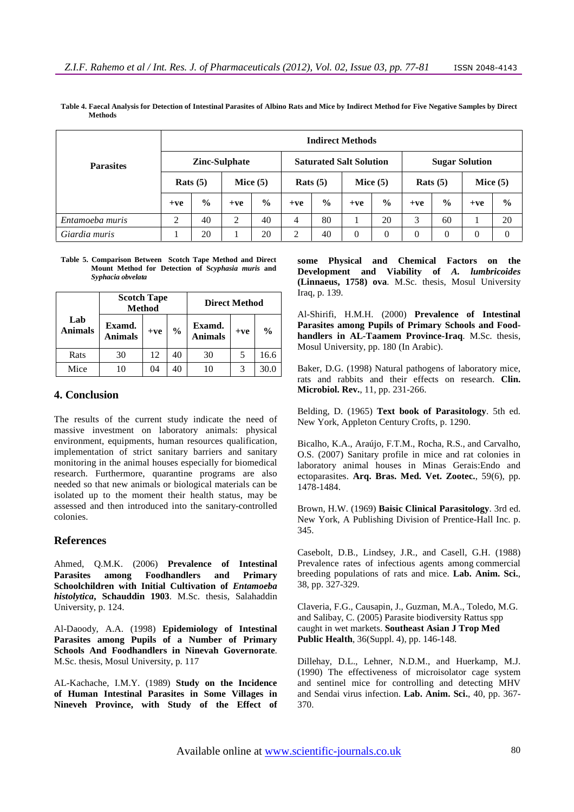|                  | <b>Indirect Methods</b> |               |            |                                |            |               |            |                       |            |               |            |               |
|------------------|-------------------------|---------------|------------|--------------------------------|------------|---------------|------------|-----------------------|------------|---------------|------------|---------------|
| <b>Parasites</b> | <b>Zinc-Sulphate</b>    |               |            | <b>Saturated Salt Solution</b> |            |               |            | <b>Sugar Solution</b> |            |               |            |               |
|                  | Rats $(5)$              |               | Mice $(5)$ |                                | Rats $(5)$ |               | Mice $(5)$ |                       | Rats $(5)$ |               | Mice $(5)$ |               |
|                  | $+ve$                   | $\frac{6}{9}$ | $+ve$      | $\frac{0}{0}$                  | $+ve$      | $\frac{0}{0}$ | $+ve$      | $\frac{6}{9}$         | $+ve$      | $\frac{6}{9}$ | $+ve$      | $\frac{0}{0}$ |
| Entamoeba muris  | $\bigcirc$              | 40            | 2          | 40                             | 4          | 80            |            | 20                    | 3          | 60            |            | 20            |
| Giardia muris    |                         | 20            |            | 20                             | 2          | 40            | $\theta$   | $\Omega$              | $\Omega$   | $\Omega$      | $\Omega$   | $\theta$      |

**Table 4. Faecal Analysis for Detection of Intestinal Parasites of Albino Rats and Mice by Indirect Method for Five Negative Samples by Direct Methods** 

**Table 5. Comparison Between Scotch Tape Method and Direct Mount Method for Detection of S***cyphasia muris* **and** *Syphacia obvelata*

|                       | <b>Scotch Tape</b>       | <b>Method</b> |               | <b>Direct Method</b>     |       |               |  |
|-----------------------|--------------------------|---------------|---------------|--------------------------|-------|---------------|--|
| Lab<br><b>Animals</b> | Examd.<br><b>Animals</b> | $+ve$         | $\frac{0}{0}$ | Examd.<br><b>Animals</b> | $+ve$ | $\frac{0}{0}$ |  |
| Rats                  | 30                       | 12            | 40            | 30                       | 5     | 16.6          |  |
| Mice                  |                          | 04            |               |                          |       |               |  |

## **4. Conclusion**

The results of the current study indicate the need of massive investment on laboratory animals: physical environment, equipments, human resources qualification, implementation of strict sanitary barriers and sanitary monitoring in the animal houses especially for biomedical research. Furthermore, quarantine programs are also needed so that new animals or biological materials can be isolated up to the moment their health status, may be assessed and then introduced into the sanitary-controlled colonies.

#### **References**

Ahmed, Q.M.K. (2006) **Prevalence of Intestinal Parasites among Foodhandlers and Primary Schoolchildren with Initial Cultivation of** *Entamoeba histolytica***, Schauddin 1903**. M.Sc. thesis, Salahaddin University, p. 124.

Al-Daoody, A.A. (1998) **Epidemiology of Intestinal Parasites among Pupils of a Number of Primary Schools And Foodhandlers in Ninevah Governorate**. M.Sc. thesis, Mosul University, p. 117

AL-Kachache, I.M.Y. (1989) **Study on the Incidence of Human Intestinal Parasites in Some Villages in Nineveh Province, with Study of the Effect of**  **some Physical and Chemical Factors on the Development and Viability of** *A. lumbricoides* **(Linnaeus, 1758) ova**. M.Sc. thesis, Mosul University Iraq, p. 139.

Al-Shirifi, H.M.H. (2000) **Prevalence of Intestinal Parasites among Pupils of Primary Schools and Foodhandlers in AL-Taamem Province-Iraq**. M.Sc. thesis, Mosul University, pp. 180 (In Arabic).

Baker, D.G. (1998) Natural pathogens of laboratory mice, rats and rabbits and their effects on research. **Clin. Microbiol. Rev.**, 11, pp. 231-266.

Belding, D. (1965) **Text book of Parasitology**. 5th ed. New York, Appleton Century Crofts, p. 1290.

Bicalho, K.A., Araújo, F.T.M., Rocha, R.S., and Carvalho, O.S. (2007) Sanitary profile in mice and rat colonies in laboratory animal houses in Minas Gerais:Endo and ectoparasites. **Arq. Bras. Med. Vet. Zootec.**, 59(6), pp. 1478-1484.

Brown, H.W. (1969) **Baisic Clinical Parasitology**. 3rd ed. New York, A Publishing Division of Prentice-Hall Inc. p. 345.

Casebolt, D.B., Lindsey, J.R., and Casell, G.H. (1988) Prevalence rates of infectious agents among commercial breeding populations of rats and mice. **Lab. Anim. Sci.**, 38, pp. 327-329.

Claveria, F.G., Causapin, J., Guzman, M.A., Toledo, M.G. and Salibay, C. (2005) Parasite biodiversity Rattus spp caught in wet markets. **Southeast Asian J Trop Med Public Health**, 36(Suppl. 4), pp. 146-148.

Dillehay, D.L., Lehner, N.D.M., and Huerkamp, M.J. (1990) The effectiveness of microisolator cage system and sentinel mice for controlling and detecting MHV and Sendai virus infection. **Lab. Anim. Sci.**, 40, pp. 367- 370.